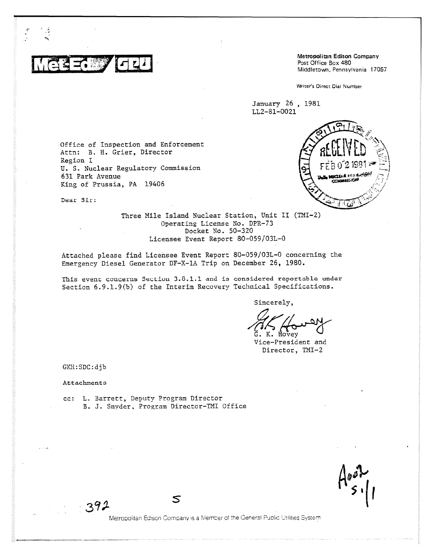

Metropolitan Edison Company<br>Post Office Box 480 Middletown, Pennsylvania 17057

Writer's Direct Dial Number

January 26 , 1981 LL2-81-0021

Office of Inspection and Enforcement Attn: B. H. Grier, Director Region I U. S. Nuclear Regulatory Commission 631 Park Avenue King of Prussia, PA 19406



Dear Sir;

Three Mile Island Nuclear Station, Unit II (TMI-2) Operating License No. DPR-73 Docket No. 50-320 Licensee Event Report 80-059/03L-0

Attached please find Licensee Event Report 80-059/03L-0 concerning the Emergency Diesel Generator DF-X-1A Trip on December 26, 1980.

This event concerns Section 3.8.1.1 and is considered reportable under Section 6.9.1.9(b) of the Interim Recovery Technical Specifications.

Sincerely,

Hovey

Vice-President and Director, TMI-2

GKH:SDC:djb

Attachments

cc: L. Barrett, Deputy Program Director B. J. Snyder, Program Director-TMI Office

 $\mathsf{s}$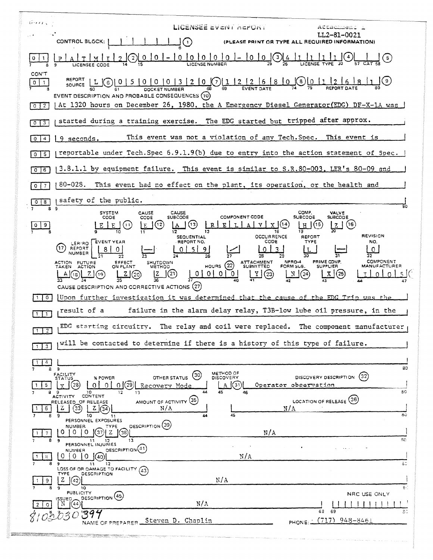| ジックし                                        | LICENSEE EVENT AEFORT<br>Attachment i                                                                                                                                                                                                                                                                                                                                                                                                                                                                                                                                                    |
|---------------------------------------------|------------------------------------------------------------------------------------------------------------------------------------------------------------------------------------------------------------------------------------------------------------------------------------------------------------------------------------------------------------------------------------------------------------------------------------------------------------------------------------------------------------------------------------------------------------------------------------------|
|                                             | LL2-81-0021<br>$\bigcap$<br>CONTROL BLOCK:  <br>(PLEASE PRINT OR TYPE ALL REQUIRED INFORMATION)                                                                                                                                                                                                                                                                                                                                                                                                                                                                                          |
|                                             | $-10$ 0 0 0 0 0 - 0 0 $\frac{10}{26}$ $-10$<br>$\mathbf{0}$<br>$\left(\begin{smallmatrix} 2 \end{smallmatrix}\right)$<br>(5)                                                                                                                                                                                                                                                                                                                                                                                                                                                             |
| CON'T<br>$\circ$<br>$\mathbf{1}$<br>$0$   2 | REPORT L G 0 5 0 0 0 1 0 1 3 2 0 0 1 1 2 2 6 8 0 0 0 1 1 2 6 8 1<br>EVENT DESCRIPTION AND PROBABLE CONSEQUENCES (10)<br>At 1320 hours on December 26, 1980, the A Emergency Diesel Generator(EDG) DF-X-1A was                                                                                                                                                                                                                                                                                                                                                                            |
| $\vert 3 \vert$<br>$\circ$ 1                | started during a training exercise. The EDG started but tripped after approx.                                                                                                                                                                                                                                                                                                                                                                                                                                                                                                            |
| $\overline{4}$<br>$^{\circ}$                | This event was not a violation of any Tech. Spec. This event is<br>9 seconds.                                                                                                                                                                                                                                                                                                                                                                                                                                                                                                            |
| 5<br>$^{\circ}$                             | reportable under Tech. Spec 6.9.1.9(b) due to entry into the action statement of Spec.                                                                                                                                                                                                                                                                                                                                                                                                                                                                                                   |
| 16<br>$\circ$                               | 3.8.1.1 by equipment failure. This event is similar to S.R.80-003, LER's 80-09 and                                                                                                                                                                                                                                                                                                                                                                                                                                                                                                       |
| $\overline{7}$<br>$\circ$                   | 80-028. This event had no effect on the plant, its operation, or the health and                                                                                                                                                                                                                                                                                                                                                                                                                                                                                                          |
| 8<br>$\circ$<br>89                          | safety of the public.<br>80                                                                                                                                                                                                                                                                                                                                                                                                                                                                                                                                                              |
| 9                                           | COMP.<br><b>SYSTEM</b><br>CAUSE<br><b>CAUSE</b><br>VALVE<br><b>COMPONENT CODE</b><br><b>SUBCODE</b><br><b>SUBCODE</b><br><b>SUBCODE</b><br>CODE<br>CODE<br>$\lfloor 2 \rfloor$ (16)<br>(15<br>(12<br>(11)<br>$\mathbf{T}$ .                                                                                                                                                                                                                                                                                                                                                              |
|                                             | <b>REVISION</b><br><b>OCCURRENCE</b><br><b>SEQUENTIAL</b><br>REFORT<br><b>REPORT NO.</b><br>CODE<br>TYPE<br>LER/RO   EVENT YEAR<br>NO.<br>17<br>REPORT<br>51<br>9<br>O.<br>0<br>NUMBER<br>26<br>PRIME COMP.<br><b>COMPONENT</b><br>NPRD-4<br>HOURS (22) ATTACHMENT<br>ACTION FUTURE<br>EFFECT<br>ON PLANT<br>SHUTDOWN<br>METHOD<br>FORM SUB.<br><b>SUPPLIER</b><br><b>MANUFACTURER</b><br>TAKEN ACTION<br>$(\mathcal{D})$<br>0 0 0 0<br>$\sqrt{(24)}$<br>2(c)<br>Ľ<br>$\boxed{Y}$ (23)<br>  N<br>(25)<br>$\mathbf{X}$<br>Z(19)<br>A(18)<br>CAUSE DESCRIPTION AND CORRECTIVE ACTIONS (27) |
| $\circ$                                     | Upon further investigation it was determined that the cause of the EDG Trip was the                                                                                                                                                                                                                                                                                                                                                                                                                                                                                                      |
| -1                                          | result of a<br>failure in the alarm delay relay, T3B-low lube oil pressure, in the                                                                                                                                                                                                                                                                                                                                                                                                                                                                                                       |
|                                             | EDG starting circuitry. The relay and coil were replaced.<br>The component manufacturer                                                                                                                                                                                                                                                                                                                                                                                                                                                                                                  |
| 3                                           | will be contacted to determine if there is a history of this type of failure.                                                                                                                                                                                                                                                                                                                                                                                                                                                                                                            |
| 4                                           | 80<br>89<br>METHOD OF<br><b>FACILITY</b><br>STATUS<br>(30)<br>(32)<br>DISCOVERY DESCRIPTION<br>OTHER STATUS<br><b>DISCOVERY</b><br>% POWER                                                                                                                                                                                                                                                                                                                                                                                                                                               |
| 5.                                          | (29)<br>(31)<br>Operator observation<br>28<br>0.<br>∩.<br>Recovery Mode<br>01<br>$\mathbf{A}$<br>45<br>80<br>44<br>46<br>89<br>10<br>12<br>13                                                                                                                                                                                                                                                                                                                                                                                                                                            |
| 6<br>8                                      | CONTENT<br><b>ACTIVITY</b><br>LOCATION OF RELEASE (36)<br>AMOUNT OF ACTIVITY (35)<br>RELEASED OF RELEASE<br>N/A<br>N/A<br>33<br>z<br>z<br>34<br>80<br>45<br>10<br>9<br>11                                                                                                                                                                                                                                                                                                                                                                                                                |
| 7                                           | PERSONNEL EXPOSURES<br>DESCRIPTION (39)<br><b>NUMBER</b><br>TYPE<br>N/A<br>Ω<br>0<br>0<br>38<br>SO.<br>13                                                                                                                                                                                                                                                                                                                                                                                                                                                                                |
| 8.                                          | -11<br>12<br>PERSONNEL INJURIES<br>DESCRIPTION <sup>(41)</sup><br><b>NUMBER</b><br>N/A<br>O<br>0<br>0<br>(40)                                                                                                                                                                                                                                                                                                                                                                                                                                                                            |
| 9.                                          | δC<br>9<br>11<br>12<br>LOSS OF OR DAMAGE TO FACILITY (43)<br>TYPE<br>DESCRIPTION<br>N/A<br>z<br>(42)                                                                                                                                                                                                                                                                                                                                                                                                                                                                                     |
| $\Omega$                                    | ୋ<br>10<br><b>PUBLICITY</b><br>NRC USE ONLY<br>DESCRIPTION (45)<br><b>ISSUED</b><br>N/A<br>$N$ (44)                                                                                                                                                                                                                                                                                                                                                                                                                                                                                      |
|                                             | 63 69<br>SC<br>39<br>PHONE: (717) 948-8461<br>Steven D. Chaplin<br>NAME OF PREPARER.                                                                                                                                                                                                                                                                                                                                                                                                                                                                                                     |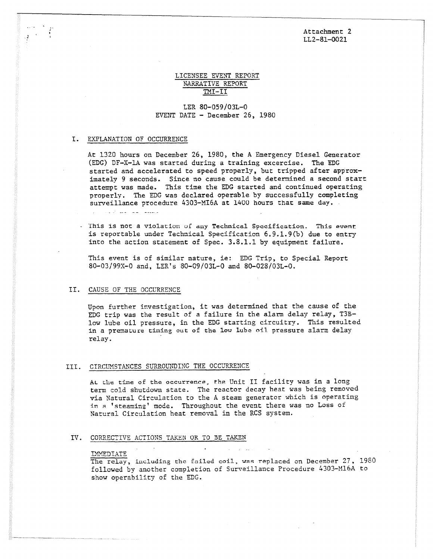### Attachment 2 LL2-81-0021

### LICENSEE EVENT REPORT NARRATIVE REPORT TMI-II

## LER 80-059/03L-0 EVENT DATE - December 26, 1980

### I. EXPLANATION OF OCCURRENCE

At 1320 hours on December 26, 1980, the A Emergency Diesel Generator (EDG) DF-X-1A was started during a training excercise. The EDG started and accelerated to speed properly, but tripped after approximately 9 seconds. Since no cause could be determined a second start attempt was made. This time the EDG started and continued operating properly. The EDG was declared operable by successfully completing surveillance procedure 4303-MI6A at 1400 hours that same day. المتفقف القافر الجفور كراوي

- This is not a violation of any Technical Specification. This event is reportable under Technical Specification 6.9.1.9(b) due to entry into the action statement of Spec. 3.8.1.1 by equipment failure.

This event is of similar nature, ie: EDG Trip, to Special Report 80-03/99X-0 and, LER's 80-09/03L-0 and 80-028/03L-0.

#### II. CAUSE OF THE OCCURRENCE

Upon further investigation, it was determined that the cause of the EDG trip was the result of a failure in the alarm delay relay, T3Blow lube oil pressure, in the EDG starting circuitry. This resulted in a premature timing out of the low lube oil pressure alarm delay relay.

### III. CIRCUMSTANCES SURROUNDING THE OCCURRENCE

At the time of the occurrence, the Unit II facility was in a long term cold shutdown state. The reactor decay heat was being removed via Natural Circulation to the A steam generator which is operating in **A** 'steaming' mode. Throughout the event there was no Loss of Natural Circulation heat removal in the RCS system.

### IV. CORRECTIVE ACTIONS TAKEN OR TO BE TAKEN

#### IMMEDIATE

The relay, including the failed coil, was replaced on December 27, 1980 followed by another completion of Surveillance Procedure 4303-M16A to show operability of the EDG.